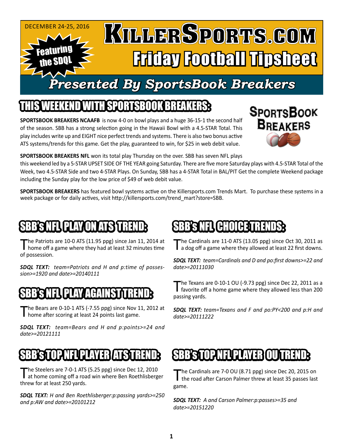

### SPORTSBOOK BREAKER

**SPORTSBOOK BREAKERS NCAAFB** is now 4-0 on bowl plays and a huge 36-15-1 the second half of the season. SBB has a strong selection going in the Hawaii Bowl with a 4.5-STAR Total. This play includes write up and EIGHT nice perfect trends and systems. There is also two bonus active ATS systems/trends for this game. Get the play, guaranteed to win, for \$25 in web debit value.



**SPORTSBOOK BREAKERS NFL** won its total play Thursday on the over. SBB has seven NFL plays

this weekend led by a 5-STAR UPSET SIDE OF THE YEAR going Saturday. There are five more Saturday plays with 4.5-STAR Total of the Week, two 4.5-STAR Side and two 4-STAR Plays. On Sunday, SBB has a 4-STAR Total in BAL/PIT Get the complete Weekend package including the Sunday play for the low price of \$49 of web debit value.

**SPORTSBOOK BREAKERS** has featured bowl systems active on the Killersports.com Trends Mart. To purchase these systems in a week package or for daily actives, visit http://killersports.com/trend\_mart?store=SBB.

### BB's NFLI PLAY ON ATS ITRI

The Patriots are 10-0 ATS (11.95 ppg) since Jan 11, 2014 at home off a game where they had at least 32 minutes time of possession.

*SDQL TEXT: team=Patriots and H and p:time of possession>=1920 and date>=20140111*

#### SBB's NFL PLAY AGAINST P

The Bears are  $0-10-1$  ATS ( $-7.55$  ppg) since Nov 11, 2012 at home after scoring at least 24 points last game.

*SDQL TEXT: team=Bears and H and p:points>=24 and date>=20121111*

## SLUIN I PLAYER ATS T

The Steelers are 7-0-1 ATS (5.25 ppg) since Dec 12, 2010<br>at home coming off a road win where Ben Roethlisberger threw for at least 250 yards.

*SDQL TEXT: H and Ben Roethlisberger:p:passing yards>=250 and p:AW and date>=20101212*

### BB'S NFL (CHOICETRE

The Cardinals are 11-0 ATS (13.05 ppg) since Oct 30, 2011 as a dog off a game where they allowed at least 22 first downs.

*SDQL TEXT: team=Cardinals and D and po:first downs>=22 and date>=20111030*

The Texans are 0-10-1 OU (-9.73 ppg) since Dec 22, 2011 as a<br>
favorite off a home game where they allowed less than 200 passing yards.

*SDQL TEXT: team=Texans and F and po:PY<200 and p:H and date>=20111222*

### SBB'S TOP NFL PLAYER OUT

The Cardinals are 7-0 OU (8.71 ppg) since Dec 20, 2015 on the road after Carson Palmer threw at least 35 passes last game.

*SDQL TEXT: A and Carson Palmer:p:passes>=35 and date>=20151220*